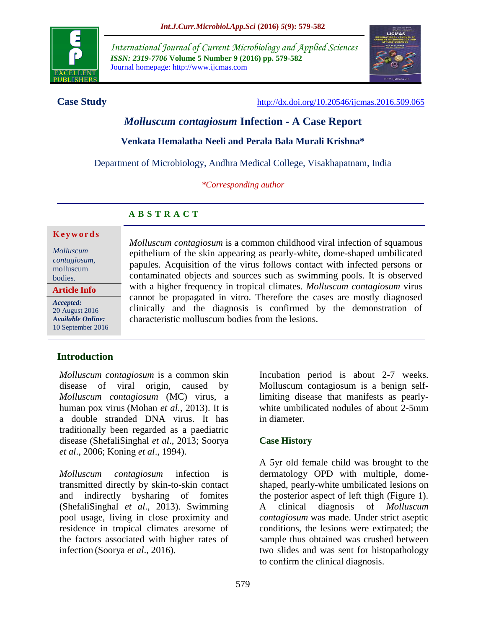

*International Journal of Current Microbiology and Applied Sciences ISSN: 2319-7706* **Volume 5 Number 9 (2016) pp. 579-582** Journal homepage: http://www.ijcmas.com



**Case Study** <http://dx.doi.org/10.20546/ijcmas.2016.509.065>

# *Molluscum contagiosum* **Infection - A Case Report**

#### **Venkata Hemalatha Neeli and Perala Bala Murali Krishna\***

Department of Microbiology, Andhra Medical College, Visakhapatnam, India

*\*Corresponding author*

## **A B S T R A C T**

#### **K e y w o r d s**

*Molluscum contagiosum,* molluscum bodies.

**Article Info**

*Accepted:*  20 August 2016 *Available Online:* 10 September 2016 *Molluscum contagiosum* is a common childhood viral infection of squamous epithelium of the skin appearing as pearly-white, dome-shaped umbilicated papules. Acquisition of the virus follows contact with infected persons or contaminated objects and sources such as swimming pools. It is observed with a higher frequency in tropical climates. *Molluscum contagiosum* virus cannot be propagated in vitro. Therefore the cases are mostly diagnosed clinically and the diagnosis is confirmed by the demonstration of characteristic molluscum bodies from the lesions.

# **Introduction**

*Molluscum contagiosum* is a common skin disease of viral origin, caused by *Molluscum contagiosum* (MC) virus, a human pox virus (Mohan *et al.*, 2013). It is a double stranded DNA virus. It has traditionally been regarded as a paediatric disease (ShefaliSinghal *et al*., 2013; Soorya *et al*., 2006; Koning *et al*., 1994).

*Molluscum contagiosum* infection is transmitted directly by skin-to-skin contact and indirectly bysharing of fomites (ShefaliSinghal *et al*., 2013). Swimming pool usage, living in close proximity and residence in tropical climates aresome of the factors associated with higher rates of infection (Soorya *et al*., 2016).

Incubation period is about 2-7 weeks. Molluscum contagiosum is a benign selflimiting disease that manifests as pearlywhite umbilicated nodules of about 2-5mm in diameter.

## **Case History**

A 5yr old female child was brought to the dermatology OPD with multiple, domeshaped, pearly-white umbilicated lesions on the posterior aspect of left thigh (Figure 1). A clinical diagnosis of *Molluscum contagiosum* was made. Under strict aseptic conditions, the lesions were extirpated; the sample thus obtained was crushed between two slides and was sent for histopathology to confirm the clinical diagnosis.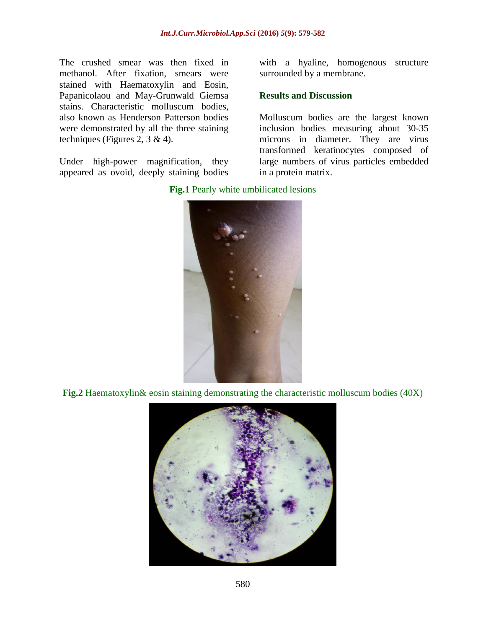The crushed smear was then fixed in methanol. After fixation, smears were stained with Haematoxylin and Eosin, Papanicolaou and May-Grunwald Giemsa stains. Characteristic molluscum bodies, also known as Henderson Patterson bodies were demonstrated by all the three staining techniques (Figures 2, 3 & 4).

Under high-power magnification, they appeared as ovoid, deeply staining bodies

with a hyaline, homogenous structure surrounded by a membrane.

#### **Results and Discussion**

Molluscum bodies are the largest known inclusion bodies measuring about 30-35 microns in diameter. They are virus transformed keratinocytes composed of large numbers of virus particles embedded in a protein matrix.



#### **Fig.1** Pearly white umbilicated lesions

**Fig.2** Haematoxylin& eosin staining demonstrating the characteristic molluscum bodies (40X)

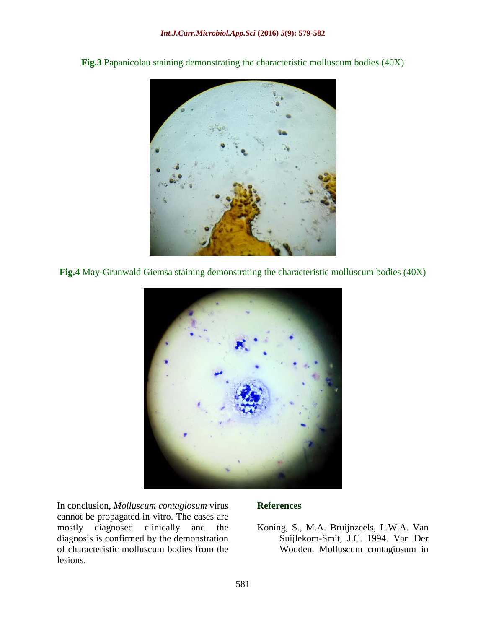**Fig.3** Papanicolau staining demonstrating the characteristic molluscum bodies (40X)



**Fig.4** May-Grunwald Giemsa staining demonstrating the characteristic molluscum bodies (40X)



In conclusion, *Molluscum contagiosum* virus cannot be propagated in vitro. The cases are mostly diagnosed clinically and the diagnosis is confirmed by the demonstration of characteristic molluscum bodies from the lesions.

## **References**

Koning, S., M.A. Bruijnzeels, L.W.A. Van Suijlekom-Smit, J.C. 1994. Van Der Wouden. Molluscum contagiosum in